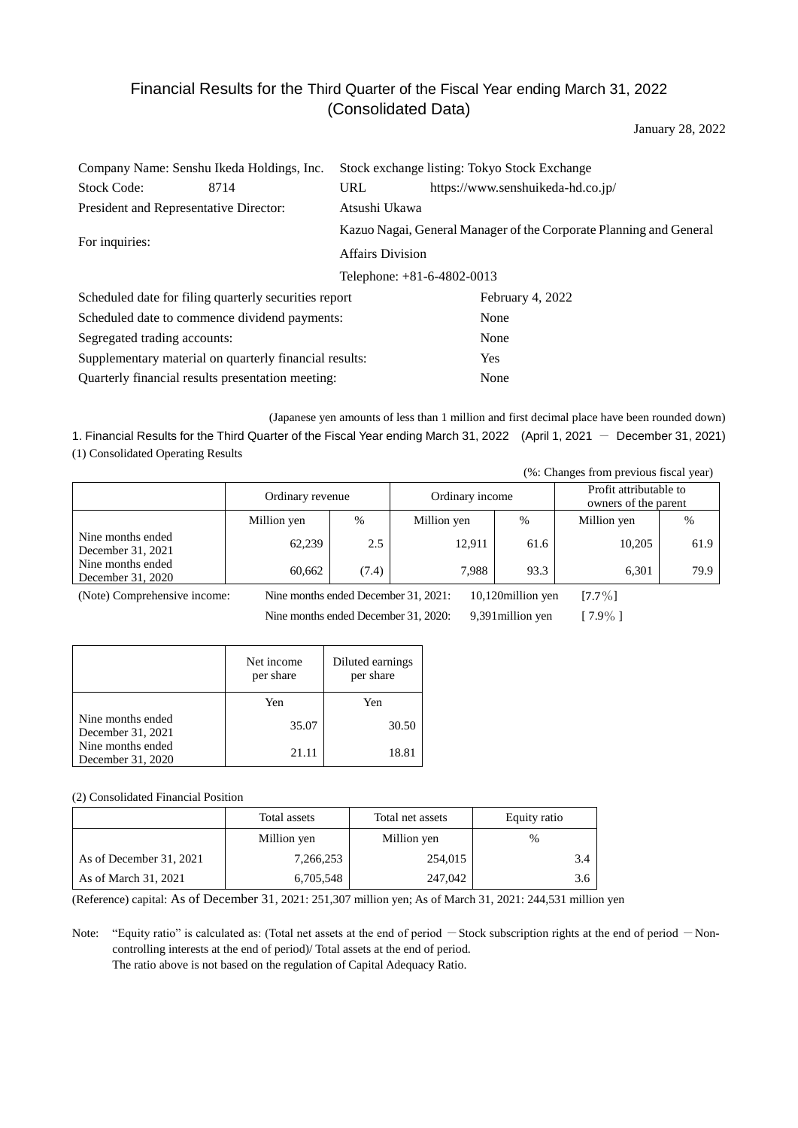# Financial Results for the Third Quarter of the Fiscal Year ending March 31, 2022 (Consolidated Data)

January 28, 2022

| Company Name: Senshu Ikeda Holdings, Inc.              |      | Stock exchange listing: Tokyo Stock Exchange                       |                                   |  |
|--------------------------------------------------------|------|--------------------------------------------------------------------|-----------------------------------|--|
| <b>Stock Code:</b>                                     | 8714 | <b>URL</b>                                                         | https://www.senshuikeda-hd.co.jp/ |  |
| President and Representative Director:                 |      | Atsushi Ukawa                                                      |                                   |  |
| For inquiries:                                         |      | Kazuo Nagai, General Manager of the Corporate Planning and General |                                   |  |
|                                                        |      | <b>Affairs Division</b>                                            |                                   |  |
| Telephone: +81-6-4802-0013                             |      |                                                                    |                                   |  |
| Scheduled date for filing quarterly securities report  |      |                                                                    | February 4, 2022                  |  |
| Scheduled date to commence dividend payments:          |      |                                                                    | None                              |  |
| Segregated trading accounts:                           |      |                                                                    | None                              |  |
| Supplementary material on quarterly financial results: |      |                                                                    | <b>Yes</b>                        |  |
| Quarterly financial results presentation meeting:      |      |                                                                    | None                              |  |

(Japanese yen amounts of less than 1 million and first decimal place have been rounded down) 1. Financial Results for the Third Quarter of the Fiscal Year ending March 31, 2022 (April 1, 2021 - December 31, 2021) (1) Consolidated Operating Results

(%: Changes from previous fiscal year)

|                                        | Ordinary revenue |               | Ordinary income |      | Profit attributable to<br>owners of the parent |      |
|----------------------------------------|------------------|---------------|-----------------|------|------------------------------------------------|------|
|                                        | Million yen      | $\frac{0}{0}$ | Million yen     | $\%$ | Million yen                                    | %    |
| Nine months ended<br>December 31, 2021 | 62,239           | 2.5           | 12,911          | 61.6 | 10,205                                         | 61.9 |
| Nine months ended<br>December 31, 2020 | 60.662           | (7.4)         | 7,988           | 93.3 | 6.301                                          | 79.9 |

(Note) Comprehensive income: Nine months ended December 31, 2021: 10,120million yen [7.7%]

Nine months ended December 31, 2020: 9,391 million yen [  $7.9\%$  ]

|                                        | Net income<br>per share | Diluted earnings<br>per share |
|----------------------------------------|-------------------------|-------------------------------|
|                                        | Yen                     | Yen                           |
| Nine months ended<br>December 31, 2021 | 35.07                   | 30.50                         |
| Nine months ended<br>December 31, 2020 | 21.11                   | 18.81                         |

(2) Consolidated Financial Position

|                         | Total assets<br>Total net assets |             | Equity ratio |
|-------------------------|----------------------------------|-------------|--------------|
|                         | Million yen                      | Million yen | $\%$         |
| As of December 31, 2021 | 7,266,253                        | 254,015     | 3.4          |
| As of March 31, 2021    | 6,705,548                        | 247,042     | 3.6          |

(Reference) capital: As of December 31, 2021: 251,307 million yen; As of March 31, 2021: 244,531 million yen

Note: "Equity ratio" is calculated as: (Total net assets at the end of period - Stock subscription rights at the end of period - Noncontrolling interests at the end of period)/ Total assets at the end of period. The ratio above is not based on the regulation of Capital Adequacy Ratio.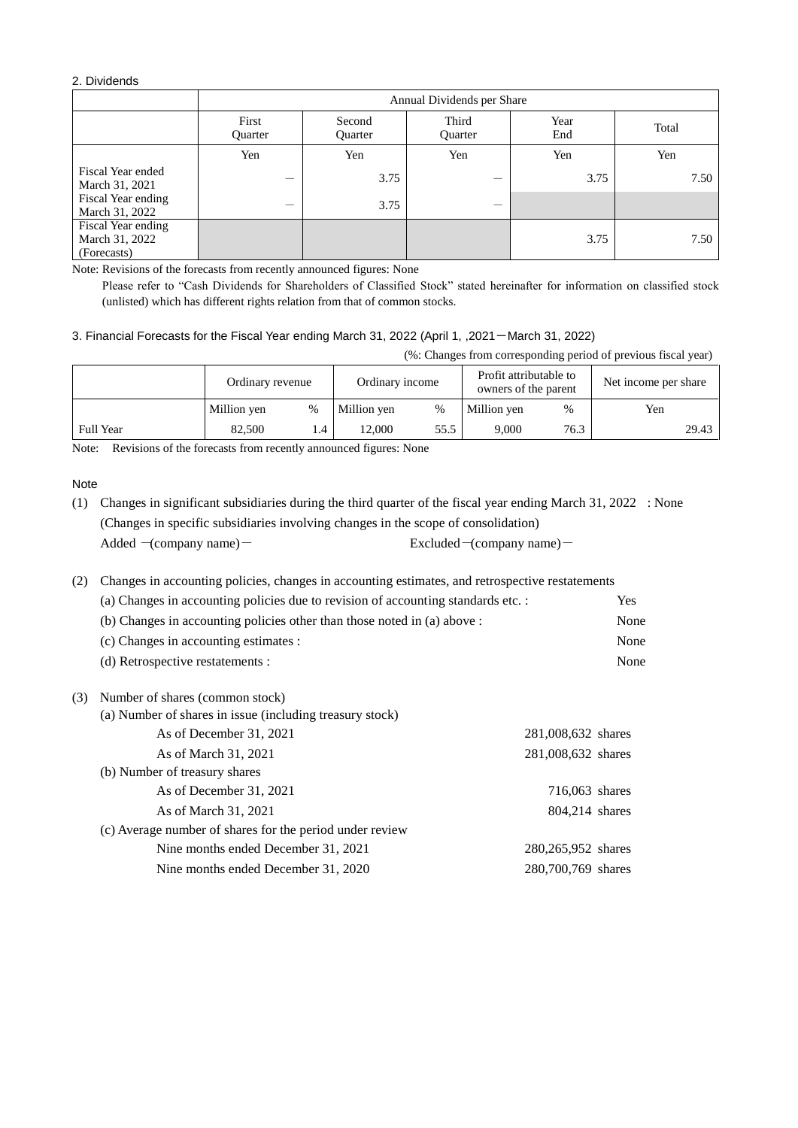# 2. Dividends

|                                                     | Annual Dividends per Share |                          |                         |             |       |  |  |
|-----------------------------------------------------|----------------------------|--------------------------|-------------------------|-------------|-------|--|--|
|                                                     | First<br><b>Ouarter</b>    | Second<br><b>Ouarter</b> | Third<br><b>Ouarter</b> | Year<br>End | Total |  |  |
|                                                     | Yen                        | Yen                      | Yen                     | Yen         | Yen   |  |  |
| Fiscal Year ended<br>March 31, 2021                 |                            | 3.75                     |                         | 3.75        | 7.50  |  |  |
| Fiscal Year ending<br>March 31, 2022                |                            | 3.75                     |                         |             |       |  |  |
| Fiscal Year ending<br>March 31, 2022<br>(Forecasts) |                            |                          |                         | 3.75        | 7.50  |  |  |

Note: Revisions of the forecasts from recently announced figures: None

Please refer to "Cash Dividends for Shareholders of Classified Stock" stated hereinafter for information on classified stock (unlisted) which has different rights relation from that of common stocks.

# 3. Financial Forecasts for the Fiscal Year ending March 31, 2022 (April 1, ,2021-March 31, 2022)

(%: Changes from corresponding period of previous fiscal year)

|                  | Ordinary revenue |   | Ordinary income |      |             |      | Profit attributable to<br>owners of the parent |  | Net income per share |  |
|------------------|------------------|---|-----------------|------|-------------|------|------------------------------------------------|--|----------------------|--|
|                  | Million yen      | % | Million yen     | $\%$ | Million yen | %    | Yen                                            |  |                      |  |
| <b>Full Year</b> | 82.500           |   | '2.000          | 55.5 | 9.000       | 76.3 | 29.43                                          |  |                      |  |

Note: Revisions of the forecasts from recently announced figures: None

#### Note

(1) Changes in significant subsidiaries during the third quarter of the fiscal year ending March 31, 2022 : None (Changes in specific subsidiaries involving changes in the scope of consolidation) Added  $-(\text{company name})$  Excluded  $-(\text{company name})$ 

(2) Changes in accounting policies, changes in accounting estimates, and retrospective restatements

|     | (a) Changes in accounting policies due to revision of accounting standards etc. : |                    | <b>Yes</b> |
|-----|-----------------------------------------------------------------------------------|--------------------|------------|
|     | (b) Changes in accounting policies other than those noted in (a) above :          |                    | None       |
|     | (c) Changes in accounting estimates :                                             |                    | None       |
|     | (d) Retrospective restatements :                                                  |                    | None       |
| (3) | Number of shares (common stock)                                                   |                    |            |
|     | (a) Number of shares in issue (including treasury stock)                          |                    |            |
|     | As of December 31, 2021                                                           | 281,008,632 shares |            |
|     | As of March 31, 2021                                                              | 281,008,632 shares |            |
|     | (b) Number of treasury shares                                                     |                    |            |
|     | As of December 31, 2021                                                           | 716,063 shares     |            |
|     | As of March 31, 2021                                                              | 804,214 shares     |            |
|     | (c) Average number of shares for the period under review                          |                    |            |
|     | Nine months ended December 31, 2021                                               | 280,265,952 shares |            |
|     | Nine months ended December 31, 2020                                               | 280,700,769 shares |            |
|     |                                                                                   |                    |            |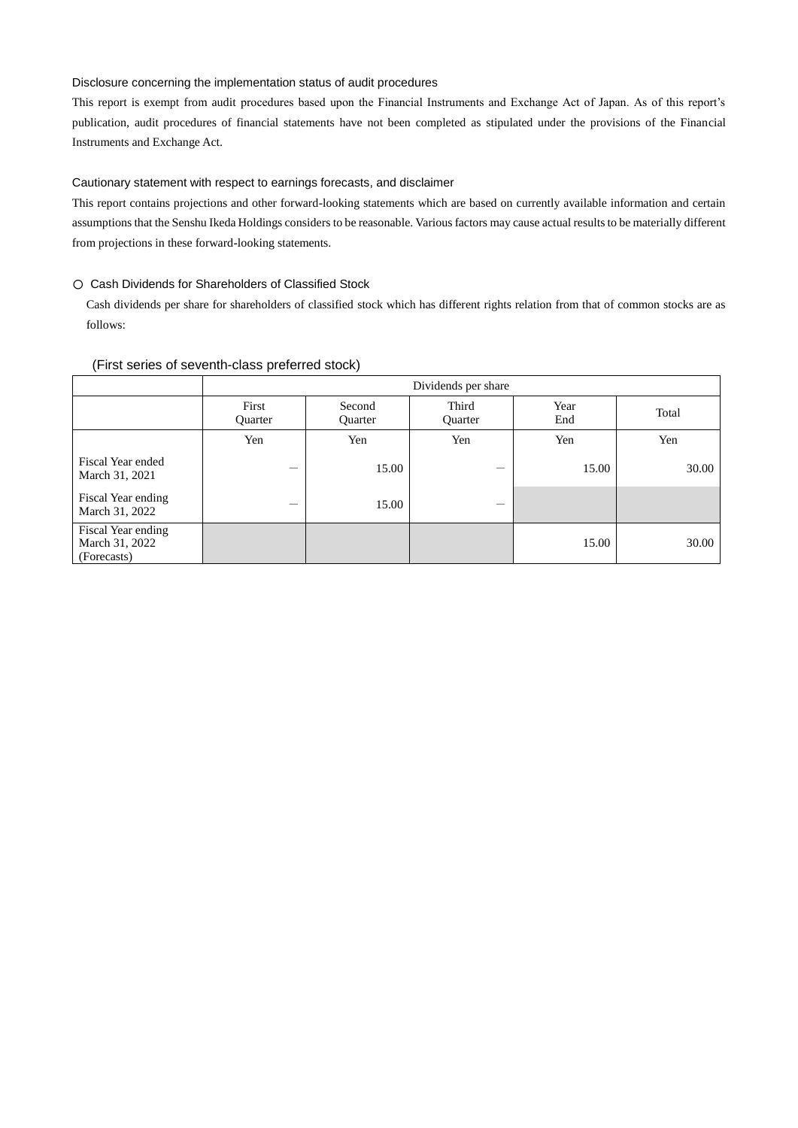#### Disclosure concerning the implementation status of audit procedures

This report is exempt from audit procedures based upon the Financial Instruments and Exchange Act of Japan. As of this report's publication, audit procedures of financial statements have not been completed as stipulated under the provisions of the Financial Instruments and Exchange Act.

## Cautionary statement with respect to earnings forecasts, and disclaimer

This report contains projections and other forward-looking statements which are based on currently available information and certain assumptions that the Senshu Ikeda Holdings considers to be reasonable. Various factors may cause actual results to be materially different from projections in these forward-looking statements.

#### 〇 Cash Dividends for Shareholders of Classified Stock

Cash dividends per share for shareholders of classified stock which has different rights relation from that of common stocks are as follows:

|                                                     | Dividends per share |                   |                  |             |       |  |
|-----------------------------------------------------|---------------------|-------------------|------------------|-------------|-------|--|
|                                                     | First<br>Quarter    | Second<br>Quarter | Third<br>Quarter | Year<br>End | Total |  |
|                                                     | Yen                 | Yen               | Yen              | Yen         | Yen   |  |
| Fiscal Year ended<br>March 31, 2021                 | --                  | 15.00             |                  | 15.00       | 30.00 |  |
| Fiscal Year ending<br>March 31, 2022                |                     | 15.00             |                  |             |       |  |
| Fiscal Year ending<br>March 31, 2022<br>(Forecasts) |                     |                   |                  | 15.00       | 30.00 |  |

#### (First series of seventh-class preferred stock)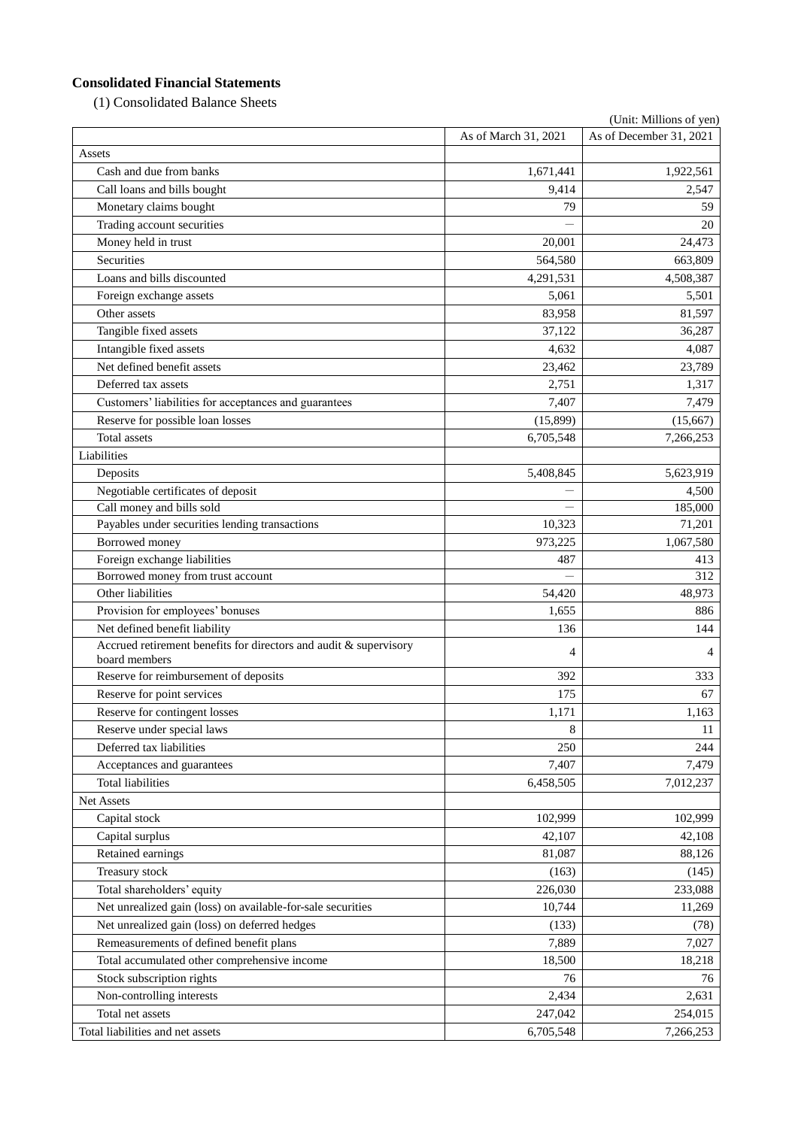# **Consolidated Financial Statements**

(1) Consolidated Balance Sheets

| (Unit: Millions of yen)                                                            |                      |                         |  |  |
|------------------------------------------------------------------------------------|----------------------|-------------------------|--|--|
|                                                                                    | As of March 31, 2021 | As of December 31, 2021 |  |  |
| Assets                                                                             |                      |                         |  |  |
| Cash and due from banks                                                            | 1,671,441            | 1,922,561               |  |  |
| Call loans and bills bought                                                        | 9,414                | 2,547                   |  |  |
| Monetary claims bought                                                             | 79                   | 59                      |  |  |
| Trading account securities                                                         |                      | 20                      |  |  |
| Money held in trust                                                                | 20,001               | 24,473                  |  |  |
| Securities                                                                         | 564,580              | 663,809                 |  |  |
| Loans and bills discounted                                                         | 4,291,531            | 4,508,387               |  |  |
| Foreign exchange assets                                                            | 5,061                | 5,501                   |  |  |
| Other assets                                                                       | 83,958               | 81,597                  |  |  |
| Tangible fixed assets                                                              | 37,122               | 36,287                  |  |  |
| Intangible fixed assets                                                            | 4,632                | 4,087                   |  |  |
| Net defined benefit assets                                                         | 23,462               | 23,789                  |  |  |
| Deferred tax assets                                                                | 2,751                | 1,317                   |  |  |
| Customers' liabilities for acceptances and guarantees                              | 7,407                | 7,479                   |  |  |
| Reserve for possible loan losses                                                   | (15, 899)            | (15,667)                |  |  |
| Total assets                                                                       | 6,705,548            | 7,266,253               |  |  |
| Liabilities                                                                        |                      |                         |  |  |
| Deposits                                                                           | 5,408,845            | 5,623,919               |  |  |
| Negotiable certificates of deposit                                                 |                      | 4,500                   |  |  |
| Call money and bills sold                                                          |                      | 185,000                 |  |  |
| Payables under securities lending transactions                                     | 10,323               | 71,201                  |  |  |
| Borrowed money                                                                     | 973,225              | 1,067,580               |  |  |
| Foreign exchange liabilities                                                       | 487                  | 413                     |  |  |
| Borrowed money from trust account                                                  |                      | 312                     |  |  |
| Other liabilities                                                                  | 54,420               | 48,973                  |  |  |
| Provision for employees' bonuses                                                   | 1,655                | 886                     |  |  |
| Net defined benefit liability                                                      | 136                  | 144                     |  |  |
| Accrued retirement benefits for directors and audit & supervisory<br>board members | 4                    | 4                       |  |  |
| Reserve for reimbursement of deposits                                              | 392                  | 333                     |  |  |
| Reserve for point services                                                         | 175                  | 67                      |  |  |
| Reserve for contingent losses                                                      | 1,171                | 1,163                   |  |  |
| Reserve under special laws                                                         | 8                    | 11                      |  |  |
| Deferred tax liabilities                                                           | 250                  | 244                     |  |  |
| Acceptances and guarantees                                                         | 7,407                | 7,479                   |  |  |
| <b>Total liabilities</b>                                                           | 6,458,505            | 7,012,237               |  |  |
| Net Assets                                                                         |                      |                         |  |  |
| Capital stock                                                                      | 102,999              | 102,999                 |  |  |
| Capital surplus                                                                    | 42,107               | 42,108                  |  |  |
| Retained earnings                                                                  | 81,087               | 88,126                  |  |  |
| Treasury stock                                                                     | (163)                | (145)                   |  |  |
| Total shareholders' equity                                                         | 226,030              | 233,088                 |  |  |
| Net unrealized gain (loss) on available-for-sale securities                        | 10,744               | 11,269                  |  |  |
| Net unrealized gain (loss) on deferred hedges                                      | (133)                | (78)                    |  |  |
| Remeasurements of defined benefit plans                                            | 7,889                | 7,027                   |  |  |
| Total accumulated other comprehensive income                                       | 18,500               | 18,218                  |  |  |
| Stock subscription rights                                                          | 76                   | 76                      |  |  |
| Non-controlling interests                                                          | 2,434                | 2,631                   |  |  |
| Total net assets                                                                   | 247,042              | 254,015                 |  |  |
| Total liabilities and net assets                                                   | 6,705,548            | 7,266,253               |  |  |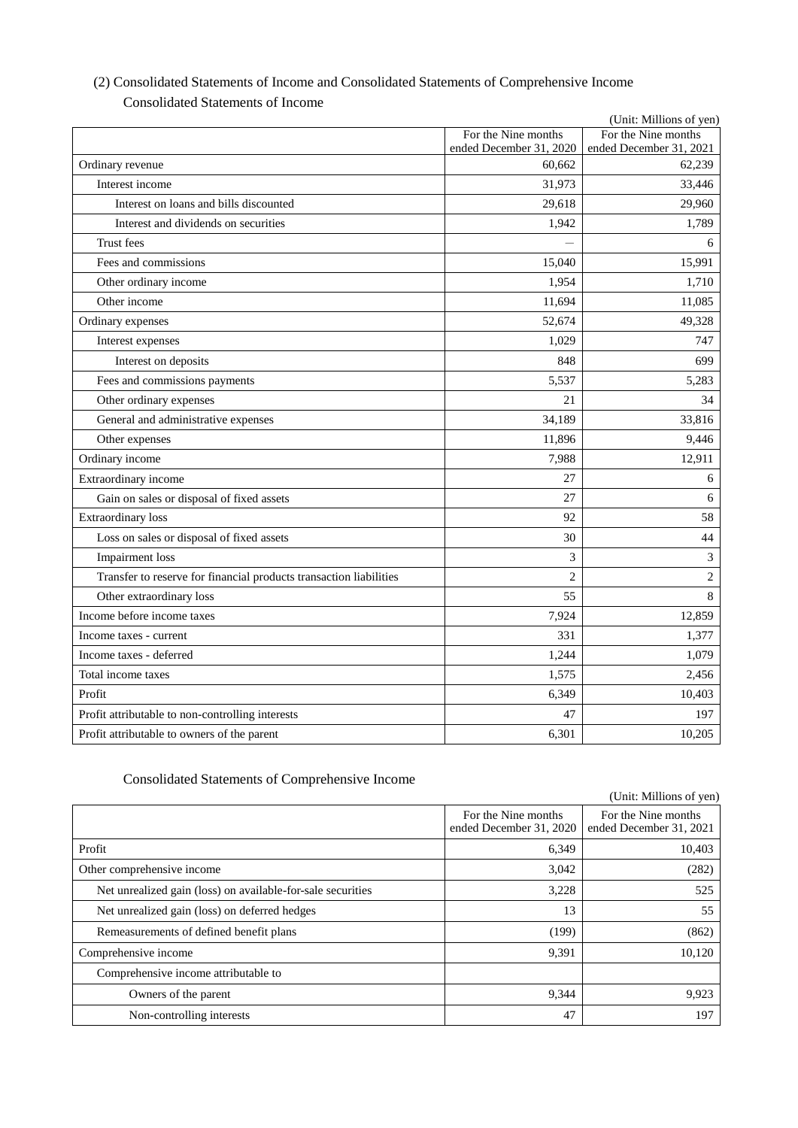| (Unit: Millions of yen)                                            |                         |                             |  |  |  |
|--------------------------------------------------------------------|-------------------------|-----------------------------|--|--|--|
|                                                                    | For the Nine months     | For the Nine months         |  |  |  |
|                                                                    | ended December 31, 2020 | ended December 31, 2021     |  |  |  |
| Ordinary revenue                                                   | 60,662                  | 62,239                      |  |  |  |
| Interest income                                                    | 31,973                  | 33,446                      |  |  |  |
| Interest on loans and bills discounted                             | 29,618                  | 29,960                      |  |  |  |
| Interest and dividends on securities                               | 1,942                   | 1,789                       |  |  |  |
| <b>Trust</b> fees                                                  |                         | 6                           |  |  |  |
| Fees and commissions                                               | 15,040                  | 15,991                      |  |  |  |
| Other ordinary income                                              | 1,954                   | 1.710                       |  |  |  |
| Other income                                                       | 11,694                  | 11,085                      |  |  |  |
| Ordinary expenses                                                  | 52,674                  | 49,328                      |  |  |  |
| Interest expenses                                                  | 1,029                   | 747                         |  |  |  |
| Interest on deposits                                               | 848                     | 699                         |  |  |  |
| Fees and commissions payments                                      | 5,537                   | 5,283                       |  |  |  |
| Other ordinary expenses                                            | 21                      | 34                          |  |  |  |
| General and administrative expenses                                | 34,189                  | 33,816                      |  |  |  |
| Other expenses                                                     | 11,896                  | 9,446                       |  |  |  |
| Ordinary income                                                    | 7,988                   | 12,911                      |  |  |  |
| Extraordinary income                                               | 27                      | 6                           |  |  |  |
| Gain on sales or disposal of fixed assets                          | 27                      | 6                           |  |  |  |
| <b>Extraordinary</b> loss                                          | 92                      | 58                          |  |  |  |
| Loss on sales or disposal of fixed assets                          | 30                      | 44                          |  |  |  |
| <b>Impairment</b> loss                                             | 3                       | $\ensuremath{\mathfrak{Z}}$ |  |  |  |
| Transfer to reserve for financial products transaction liabilities | $\overline{2}$          | $\sqrt{2}$                  |  |  |  |
| Other extraordinary loss                                           | 55                      | 8                           |  |  |  |
| Income before income taxes                                         | 7,924                   | 12,859                      |  |  |  |
| Income taxes - current                                             | 331                     | 1,377                       |  |  |  |
| Income taxes - deferred                                            | 1,244                   | 1,079                       |  |  |  |
| Total income taxes                                                 | 1,575                   | 2,456                       |  |  |  |
| Profit                                                             | 6,349                   | 10,403                      |  |  |  |
| Profit attributable to non-controlling interests                   | 47                      | 197                         |  |  |  |
| Profit attributable to owners of the parent                        | 6,301                   | 10,205                      |  |  |  |

# (2) Consolidated Statements of Income and Consolidated Statements of Comprehensive Income Consolidated Statements of Income

# Consolidated Statements of Comprehensive Income

|                                                             |                                                | (Unit: Millions of yen)                        |
|-------------------------------------------------------------|------------------------------------------------|------------------------------------------------|
|                                                             | For the Nine months<br>ended December 31, 2020 | For the Nine months<br>ended December 31, 2021 |
| Profit                                                      | 6,349                                          | 10,403                                         |
| Other comprehensive income                                  | 3,042                                          | (282)                                          |
| Net unrealized gain (loss) on available-for-sale securities | 3,228                                          | 525                                            |
| Net unrealized gain (loss) on deferred hedges               | 13                                             | 55                                             |
| Remeasurements of defined benefit plans                     | (199)                                          | (862)                                          |
| Comprehensive income                                        | 9,391                                          | 10,120                                         |
| Comprehensive income attributable to                        |                                                |                                                |
| Owners of the parent                                        | 9,344                                          | 9,923                                          |
| Non-controlling interests                                   | 47                                             | 197                                            |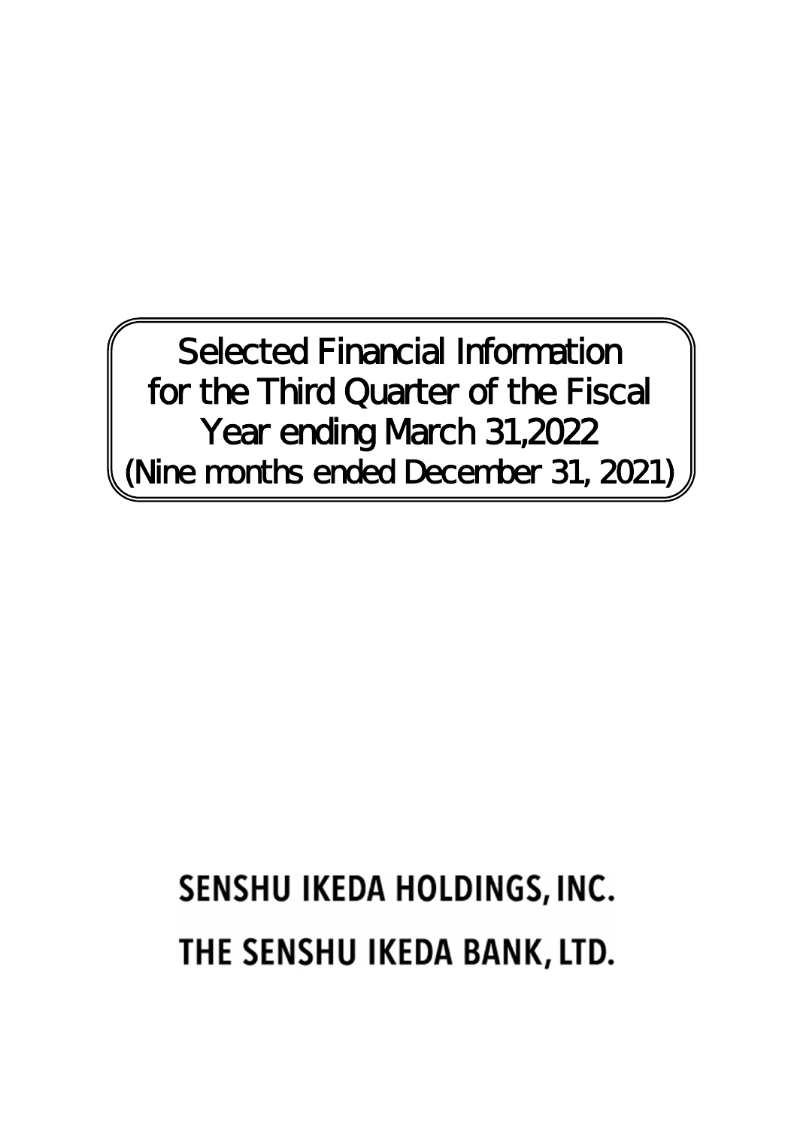Selected Financial Information for the Third Quarter of the Fiscal Year ending March 31,2022 (Nine months ended December 31, 2021)

# SENSHU IKEDA HOLDINGS, INC. THE SENSHU IKEDA BANK, LTD.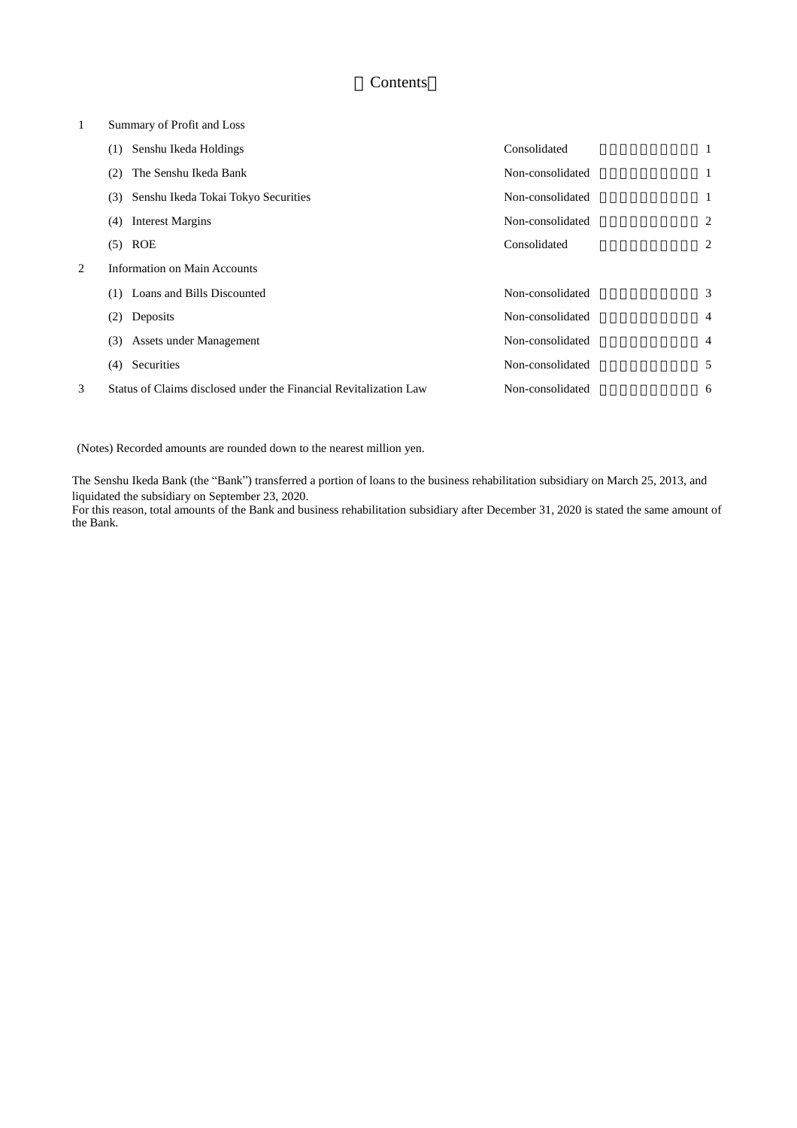# Contents

# 1 Summary of Profit and Loss

|   | Senshu Ikeda Holdings<br>(1)                                      | Consolidated     |                |
|---|-------------------------------------------------------------------|------------------|----------------|
|   | The Senshu Ikeda Bank<br>(2)                                      | Non-consolidated | 1              |
|   | Senshu Ikeda Tokai Tokyo Securities<br>(3)                        | Non-consolidated | 1              |
|   | <b>Interest Margins</b><br>(4)                                    | Non-consolidated | 2              |
|   | $(5)$ ROE                                                         | Consolidated     | 2              |
| 2 | <b>Information on Main Accounts</b>                               |                  |                |
|   | (1) Loans and Bills Discounted                                    | Non-consolidated | 3              |
|   | Deposits<br>(2)                                                   | Non-consolidated | $\overline{4}$ |
|   | Assets under Management<br>(3)                                    | Non-consolidated | $\overline{4}$ |
|   | Securities<br>(4)                                                 | Non-consolidated | 5              |
| 3 | Status of Claims disclosed under the Financial Revitalization Law | Non-consolidated | 6              |

(Notes) Recorded amounts are rounded down to the nearest million yen.

The Senshu Ikeda Bank (the "Bank") transferred a portion of loans to the business rehabilitation subsidiary on March 25, 2013, and liquidated the subsidiary on September 23, 2020.

For this reason, total amounts of the Bank and business rehabilitation subsidiary after December 31, 2020 is stated the same amount of the Bank.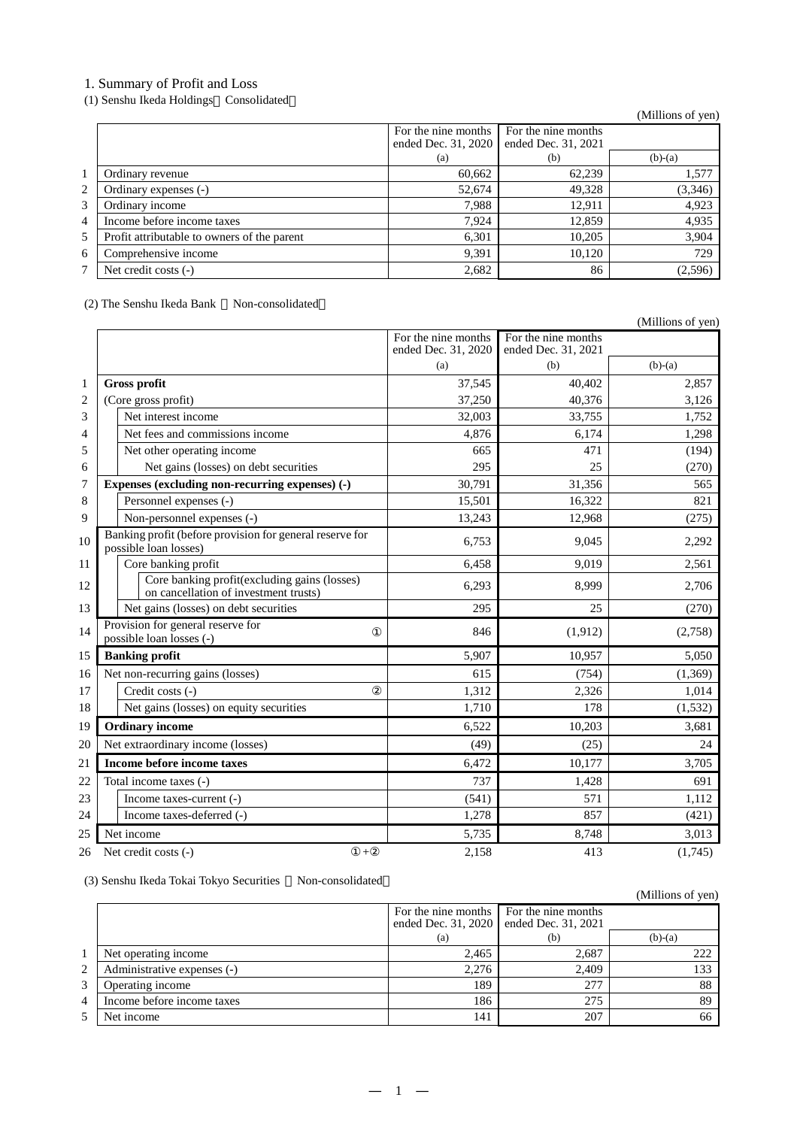# 1. Summary of Profit and Loss

(1) Senshu Ikeda Holdings Consolidated

(Millions of yen)

|                |                                             | For the nine months<br>ended Dec. 31, 2020 | For the nine months<br>ended Dec. 31, 2021 |           |
|----------------|---------------------------------------------|--------------------------------------------|--------------------------------------------|-----------|
|                |                                             | (a)                                        | (b)                                        | $(b)-(a)$ |
|                | Ordinary revenue                            | 60,662                                     | 62,239                                     | 1,577     |
| 2              | Ordinary expenses (-)                       | 52,674                                     | 49,328                                     | (3,346)   |
| 3              | Ordinary income                             | 7.988                                      | 12.911                                     | 4,923     |
| $\overline{4}$ | Income before income taxes                  | 7.924                                      | 12,859                                     | 4,935     |
| 5              | Profit attributable to owners of the parent | 6,301                                      | 10,205                                     | 3,904     |
| 6              | Comprehensive income                        | 9,391                                      | 10.120                                     | 729       |
| 7              | Net credit costs (-)                        | 2,682                                      | 86                                         | (2,596)   |

# (2) The Senshu Ikeda Bank Non-consolidated

|                                                                                       |                                            |                                            | (Millions of yen) |
|---------------------------------------------------------------------------------------|--------------------------------------------|--------------------------------------------|-------------------|
|                                                                                       | For the nine months<br>ended Dec. 31, 2020 | For the nine months<br>ended Dec. 31, 2021 |                   |
|                                                                                       | (a)                                        | (b)                                        | $(b)-(a)$         |
| Gross profit                                                                          | 37,545                                     | 40,402                                     | 2,857             |
| (Core gross profit)                                                                   | 37,250                                     | 40,376                                     | 3,126             |
| Net interest income                                                                   | 32,003                                     | 33,755                                     | 1,752             |
| Net fees and commissions income                                                       | 4,876                                      | 6,174                                      | 1,298             |
| Net other operating income                                                            | 665                                        | 471                                        | (194)             |
| Net gains (losses) on debt securities                                                 | 295                                        | 25                                         | (270)             |
| Expenses (excluding non-recurring expenses) (-)                                       | 30,791                                     | 31,356                                     | 565               |
| Personnel expenses (-)                                                                | 15,501                                     | 16,322                                     | 821               |
| Non-personnel expenses (-)                                                            | 13,243                                     | 12,968                                     | (275)             |
| Banking profit (before provision for general reserve for<br>possible loan losses)     | 6,753                                      | 9,045                                      | 2,292             |
| Core banking profit                                                                   | 6,458                                      | 9,019                                      | 2,561             |
| Core banking profit(excluding gains (losses)<br>on cancellation of investment trusts) | 6,293                                      | 8,999                                      | 2,706             |
| Net gains (losses) on debt securities                                                 | 295                                        | 25                                         | (270)             |
| Provision for general reserve for<br>possible loan losses (-)                         | 846                                        | (1, 912)                                   | (2,758)           |
| <b>Banking profit</b>                                                                 | 5,907                                      | 10,957                                     | 5,050             |
| Net non-recurring gains (losses)                                                      | 615                                        | (754)                                      | (1, 369)          |
| Credit costs (-)                                                                      | 1,312                                      | 2,326                                      | 1,014             |
| Net gains (losses) on equity securities                                               | 1,710                                      | 178                                        | (1, 532)          |
| <b>Ordinary income</b>                                                                | 6,522                                      | 10,203                                     | 3,681             |
| Net extraordinary income (losses)                                                     | (49)                                       | (25)                                       | 24                |
| <b>Income before income taxes</b>                                                     | 6,472                                      | 10,177                                     | 3,705             |
| Total income taxes (-)                                                                | 737                                        | 1,428                                      | 691               |
| Income taxes-current (-)                                                              | (541)                                      | 571                                        | 1,112             |
| Income taxes-deferred (-)                                                             | 1,278                                      | 857                                        | (421)             |
| Net income                                                                            | 5,735                                      | 8,748                                      | 3,013             |
| Net credit costs (-)<br>$^{+}$                                                        | 2,158                                      | 413                                        | (1,745)           |

(3) Senshu Ikeda Tokai Tokyo Securities Non-consolidated

|   | (3) Sensitu Ineua Tokal Tokyo Securities<br>TVOIT-COITSOIRTAIGU |                                            |                                            | (Millions of yen) |
|---|-----------------------------------------------------------------|--------------------------------------------|--------------------------------------------|-------------------|
|   |                                                                 | For the nine months<br>ended Dec. 31, 2020 | For the nine months<br>ended Dec. 31, 2021 |                   |
|   |                                                                 | (a)                                        | (b)                                        | $(b)-(a)$         |
|   | Net operating income                                            | 2,465                                      | 2,687                                      | 222               |
| 2 | Administrative expenses (-)                                     | 2,276                                      | 2.409                                      | 133               |
| 3 | Operating income                                                | 189                                        | 277                                        | 88                |
| 4 | Income before income taxes                                      | 186                                        | 275                                        | 89                |
| 5 | Net income                                                      | 141                                        | 207                                        | 66                |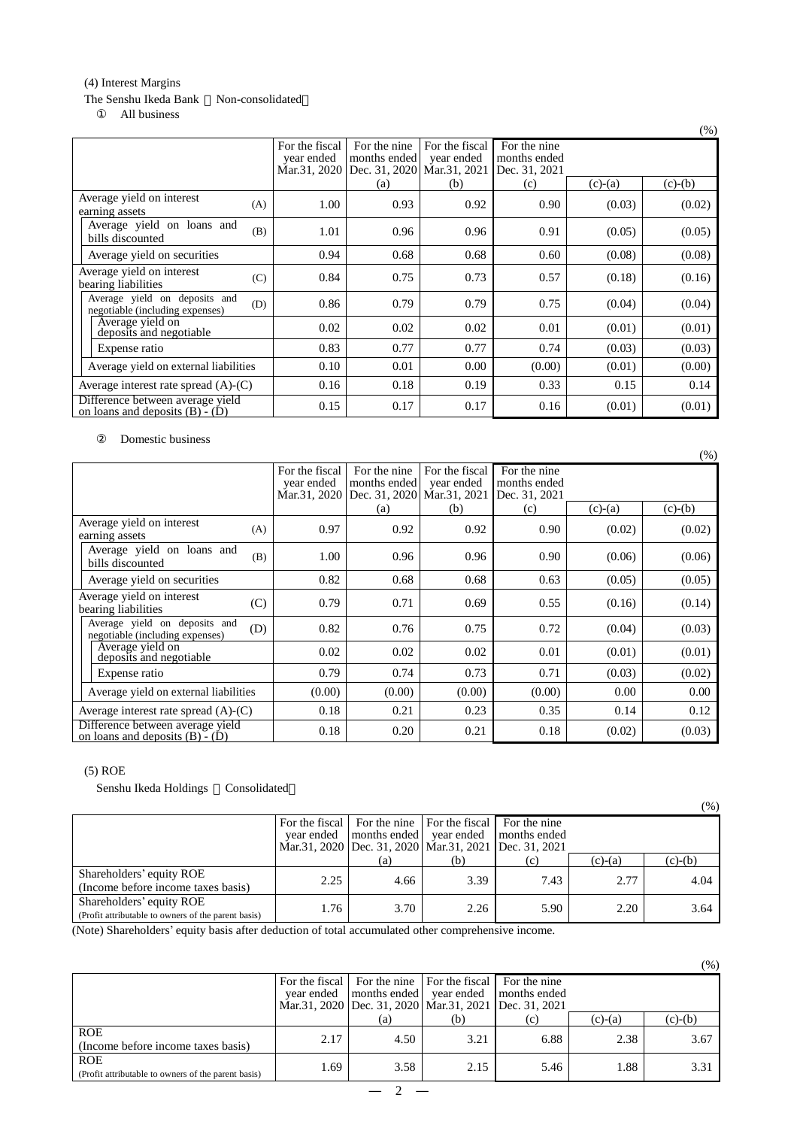# (4) Interest Margins

## The Senshu Ikeda Bank Non-consolidated All business

|                                                                         |                                              |                                                             |                              |                                               |           | (% )      |
|-------------------------------------------------------------------------|----------------------------------------------|-------------------------------------------------------------|------------------------------|-----------------------------------------------|-----------|-----------|
|                                                                         | For the fiscal<br>year ended<br>Mar.31, 2020 | For the nine<br>months ended<br>Dec. 31, 2020 Mar. 31, 2021 | For the fiscal<br>year ended | For the nine<br>months ended<br>Dec. 31, 2021 |           |           |
|                                                                         |                                              | (a)                                                         | (b)                          | (c)                                           | $(c)-(a)$ | $(c)-(b)$ |
| Average yield on interest<br>(A)<br>earning assets                      | 1.00                                         | 0.93                                                        | 0.92                         | 0.90                                          | (0.03)    | (0.02)    |
| Average yield on loans and<br>(B)<br>bills discounted                   | 1.01                                         | 0.96                                                        | 0.96                         | 0.91                                          | (0.05)    | (0.05)    |
| Average yield on securities                                             | 0.94                                         | 0.68                                                        | 0.68                         | 0.60                                          | (0.08)    | (0.08)    |
| Average yield on interest<br>(C)<br>bearing liabilities                 | 0.84                                         | 0.75                                                        | 0.73                         | 0.57                                          | (0.18)    | (0.16)    |
| Average yield on deposits and<br>(D)<br>negotiable (including expenses) | 0.86                                         | 0.79                                                        | 0.79                         | 0.75                                          | (0.04)    | (0.04)    |
| Average yield on<br>deposits and negotiable                             | 0.02                                         | 0.02                                                        | 0.02                         | 0.01                                          | (0.01)    | (0.01)    |
| Expense ratio                                                           | 0.83                                         | 0.77                                                        | 0.77                         | 0.74                                          | (0.03)    | (0.03)    |
| Average yield on external liabilities                                   | 0.10                                         | 0.01                                                        | 0.00                         | (0.00)                                        | (0.01)    | (0.00)    |
| Average interest rate spread $(A)$ - $(C)$                              | 0.16                                         | 0.18                                                        | 0.19                         | 0.33                                          | 0.15      | 0.14      |
| Difference between average yield<br>on loans and deposits $(B) - (D)$   | 0.15                                         | 0.17                                                        | 0.17                         | 0.16                                          | (0.01)    | (0.01)    |

Domestic business

|                                                                         |                                              |                                                             |                              |                                               |           | (% )      |
|-------------------------------------------------------------------------|----------------------------------------------|-------------------------------------------------------------|------------------------------|-----------------------------------------------|-----------|-----------|
|                                                                         | For the fiscal<br>year ended<br>Mar.31, 2020 | For the nine<br>months ended<br>Dec. 31, 2020 Mar. 31, 2021 | For the fiscal<br>year ended | For the nine<br>months ended<br>Dec. 31, 2021 |           |           |
|                                                                         |                                              | (a)                                                         | (b)                          | (c)                                           | $(c)-(a)$ | $(c)-(b)$ |
| Average yield on interest<br>(A)<br>earning assets                      | 0.97                                         | 0.92                                                        | 0.92                         | 0.90                                          | (0.02)    | (0.02)    |
| Average yield on loans and<br>(B)<br>bills discounted                   | 1.00                                         | 0.96                                                        | 0.96                         | $0.90^{\circ}$                                | (0.06)    | (0.06)    |
| Average yield on securities                                             | 0.82                                         | 0.68                                                        | 0.68                         | 0.63                                          | (0.05)    | (0.05)    |
| Average yield on interest<br>(C)<br>bearing liabilities                 | 0.79                                         | 0.71                                                        | 0.69                         | 0.55                                          | (0.16)    | (0.14)    |
| Average yield on deposits and<br>(D)<br>negotiable (including expenses) | 0.82                                         | 0.76                                                        | 0.75                         | 0.72                                          | (0.04)    | (0.03)    |
| Average yield on<br>deposits and negotiable                             | 0.02                                         | 0.02                                                        | 0.02                         | 0.01                                          | (0.01)    | (0.01)    |
| Expense ratio                                                           | 0.79                                         | 0.74                                                        | 0.73                         | 0.71                                          | (0.03)    | (0.02)    |
| Average yield on external liabilities                                   | (0.00)                                       | (0.00)                                                      | (0.00)                       | (0.00)                                        | 0.00      | 0.00      |
| Average interest rate spread $(A)$ - $(C)$                              | 0.18                                         | 0.21                                                        | 0.23                         | 0.35                                          | 0.14      | 0.12      |
| Difference between average yield<br>on loans and deposits $(B) - (D)$   | 0.18                                         | 0.20                                                        | 0.21                         | 0.18                                          | (0.02)    | (0.03)    |

# (5) ROE

Senshu Ikeda Holdings Consolidated

|                                                                                 |                |                                                                                                       |                                              |              |           | $(\%)$    |
|---------------------------------------------------------------------------------|----------------|-------------------------------------------------------------------------------------------------------|----------------------------------------------|--------------|-----------|-----------|
|                                                                                 | For the fiscal |                                                                                                       | For the nine   For the fiscal   For the nine |              |           |           |
|                                                                                 |                | year ended   months ended   year ended<br>Mar.31, 2020   Dec. 31, 2020   Mar.31, 2021   Dec. 31, 2021 |                                              | months ended |           |           |
|                                                                                 |                | (a)                                                                                                   | (b)                                          | (c)          | $(c)-(a)$ | $(c)-(b)$ |
| Shareholders' equity ROE<br>(Income before income taxes basis)                  | 2.25           | 4.66                                                                                                  | 3.39                                         | 7.43         | 2.77      | 4.04      |
| Shareholders' equity ROE<br>(Profit attributable to owners of the parent basis) | 1.76           | 3.70                                                                                                  | 2.26                                         | 5.90         | 2.20      | 3.64      |

(Note) Shareholders' equity basis after deduction of total accumulated other comprehensive income.

|                                                                   |                  |                                                                                                       |                               |                              |           | $(\%)$    |
|-------------------------------------------------------------------|------------------|-------------------------------------------------------------------------------------------------------|-------------------------------|------------------------------|-----------|-----------|
|                                                                   | For the fiscal 1 | year ended   months ended   year ended<br>Mar.31, 2020   Dec. 31, 2020   Mar.31, 2021   Dec. 31, 2021 | For the nine   For the fiscal | For the nine<br>months ended |           |           |
|                                                                   |                  | (a)                                                                                                   | (b)                           | (c)                          | $(c)-(a)$ | $(c)-(b)$ |
| <b>ROE</b><br>(Income before income taxes basis)                  | 2.17             | 4.50                                                                                                  | 3.21                          | 6.88                         | 2.38      | 3.67      |
| <b>ROE</b><br>(Profit attributable to owners of the parent basis) | 1.69             | 3.58                                                                                                  | 2.15                          | 5.46                         | 1.88      | 3.31      |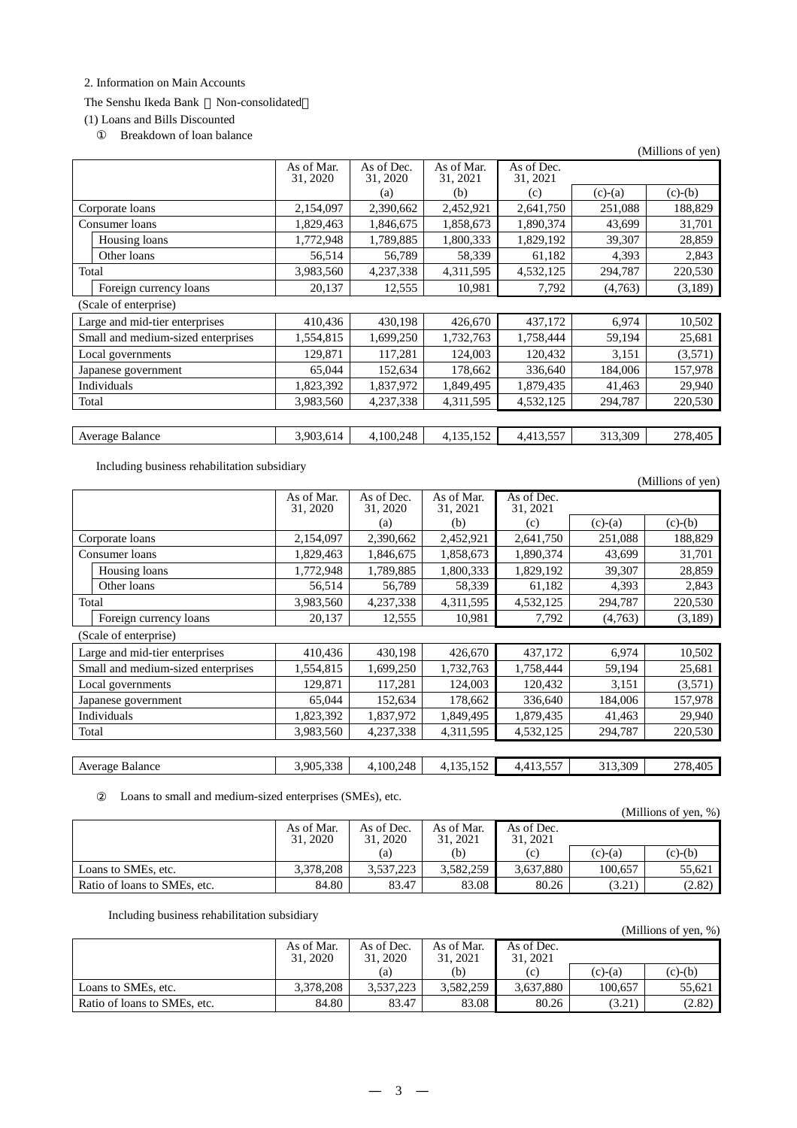## 2. Information on Main Accounts

## The Senshu Ikeda Bank Non-consolidated

# (1) Loans and Bills Discounted

Breakdown of loan balance

|       |                                    |                        |                        |                        |                        |           | (Millions of yen) |
|-------|------------------------------------|------------------------|------------------------|------------------------|------------------------|-----------|-------------------|
|       |                                    | As of Mar.<br>31, 2020 | As of Dec.<br>31, 2020 | As of Mar.<br>31, 2021 | As of Dec.<br>31, 2021 |           |                   |
|       |                                    |                        | (a)                    | (b)                    | (c)                    | $(c)-(a)$ | $(c)-(b)$         |
|       | Corporate loans                    | 2,154,097              | 2,390,662              | 2,452,921              | 2,641,750              | 251,088   | 188,829           |
|       | Consumer loans                     | 1,829,463              | 1,846,675              | 1,858,673              | 1,890,374              | 43,699    | 31,701            |
|       | Housing loans                      | 1,772,948              | 1,789,885              | 1,800,333              | 1,829,192              | 39,307    | 28,859            |
|       | Other loans                        | 56,514                 | 56,789                 | 58,339                 | 61,182                 | 4,393     | 2,843             |
| Total |                                    | 3,983,560              | 4,237,338              | 4,311,595              | 4,532,125              | 294,787   | 220,530           |
|       | Foreign currency loans             | 20,137                 | 12,555                 | 10,981                 | 7,792                  | (4,763)   | (3,189)           |
|       | (Scale of enterprise)              |                        |                        |                        |                        |           |                   |
|       | Large and mid-tier enterprises     | 410,436                | 430,198                | 426,670                | 437,172                | 6,974     | 10,502            |
|       | Small and medium-sized enterprises | 1,554,815              | 1,699,250              | 1,732,763              | 1,758,444              | 59,194    | 25,681            |
|       | Local governments                  | 129,871                | 117,281                | 124,003                | 120,432                | 3,151     | (3,571)           |
|       | Japanese government                | 65,044                 | 152,634                | 178,662                | 336,640                | 184,006   | 157,978           |
|       | Individuals                        | 1,823,392              | 1,837,972              | 1,849,495              | 1,879,435              | 41,463    | 29,940            |
| Total |                                    | 3,983,560              | 4,237,338              | 4,311,595              | 4,532,125              | 294,787   | 220,530           |
|       |                                    |                        |                        |                        |                        |           |                   |
|       | Average Balance                    | 3,903,614              | 4,100,248              | 4,135,152              | 4,413,557              | 313,309   | 278,405           |

Including business rehabilitation subsidiary

(Millions of yen)

|                       |                                    | As of Mar.<br>31, 2020 | As of Dec.<br>31, 2020 | As of Mar.<br>31, 2021 | As of Dec.<br>31, 2021 |           |           |
|-----------------------|------------------------------------|------------------------|------------------------|------------------------|------------------------|-----------|-----------|
|                       |                                    |                        | (a)                    | (b)                    | (c)                    | $(c)-(a)$ | $(c)-(b)$ |
|                       | Corporate loans                    | 2,154,097              | 2,390,662              | 2,452,921              | 2,641,750              | 251,088   | 188,829   |
|                       | Consumer loans                     | 1,829,463              | 1,846,675              | 1,858,673              | 1,890,374              | 43,699    | 31,701    |
|                       | Housing loans                      | 1,772,948              | 1,789,885              | 1,800,333              | 1,829,192              | 39,307    | 28,859    |
|                       | Other loans                        | 56,514                 | 56,789                 | 58,339                 | 61,182                 | 4,393     | 2,843     |
| Total                 |                                    | 3,983,560              | 4,237,338              | 4,311,595              | 4,532,125              | 294,787   | 220,530   |
|                       | Foreign currency loans             | 20,137                 | 12,555                 | 10,981                 | 7,792                  | (4,763)   | (3,189)   |
| (Scale of enterprise) |                                    |                        |                        |                        |                        |           |           |
|                       | Large and mid-tier enterprises     | 410,436                | 430,198                | 426,670                | 437,172                | 6,974     | 10,502    |
|                       | Small and medium-sized enterprises | 1,554,815              | 1,699,250              | 1,732,763              | 1,758,444              | 59,194    | 25,681    |
|                       | Local governments                  | 129,871                | 117,281                | 124,003                | 120,432                | 3,151     | (3,571)   |
|                       | Japanese government                | 65,044                 | 152,634                | 178,662                | 336,640                | 184,006   | 157,978   |
|                       | Individuals                        | 1,823,392              | 1,837,972              | 1,849,495              | 1,879,435              | 41,463    | 29,940    |
| Total                 |                                    | 3,983,560              | 4,237,338              | 4,311,595              | 4,532,125              | 294,787   | 220,530   |
|                       |                                    |                        |                        |                        |                        |           |           |
|                       | Average Balance                    | 3,905,338              | 4,100,248              | 4,135,152              | 4,413,557              | 313,309   | 278,405   |

Loans to small and medium-sized enterprises (SMEs), etc.

|                              |                        |                        |                        |                        |           | (Millions of yen, $%$ ) |
|------------------------------|------------------------|------------------------|------------------------|------------------------|-----------|-------------------------|
|                              | As of Mar.<br>31, 2020 | As of Dec.<br>31, 2020 | As of Mar.<br>31, 2021 | As of Dec.<br>31, 2021 |           |                         |
|                              |                        | (a)                    | (b)                    | (c)                    | $(c)-(a)$ | $(c)-(b)$               |
| Loans to SMEs, etc.          | 3.378.208              | 3.537.223              | 3,582,259              | 3.637.880              | 100.657   | 55.621                  |
| Ratio of loans to SMEs, etc. | 84.80                  | 83.47                  | 83.08                  | 80.26                  | (3.21)    | (2.82)                  |

Including business rehabilitation subsidiary

|                              |                        |                        |                        |                        |           | (Millions of yen, $\%$ ) |
|------------------------------|------------------------|------------------------|------------------------|------------------------|-----------|--------------------------|
|                              | As of Mar.<br>31, 2020 | As of Dec.<br>31, 2020 | As of Mar.<br>31, 2021 | As of Dec.<br>31, 2021 |           |                          |
|                              |                        | (a)                    | (b)                    | (c)                    | $(c)-(a)$ | $(c)-(b)$                |
| Loans to SMEs, etc.          | 3,378,208              | 3.537.223              | 3.582.259              | 3.637.880              | 100.657   | 55.621                   |
| Ratio of loans to SMEs, etc. | 84.80                  | 83.47                  | 83.08                  | 80.26                  | (3.21)    | (2.82)                   |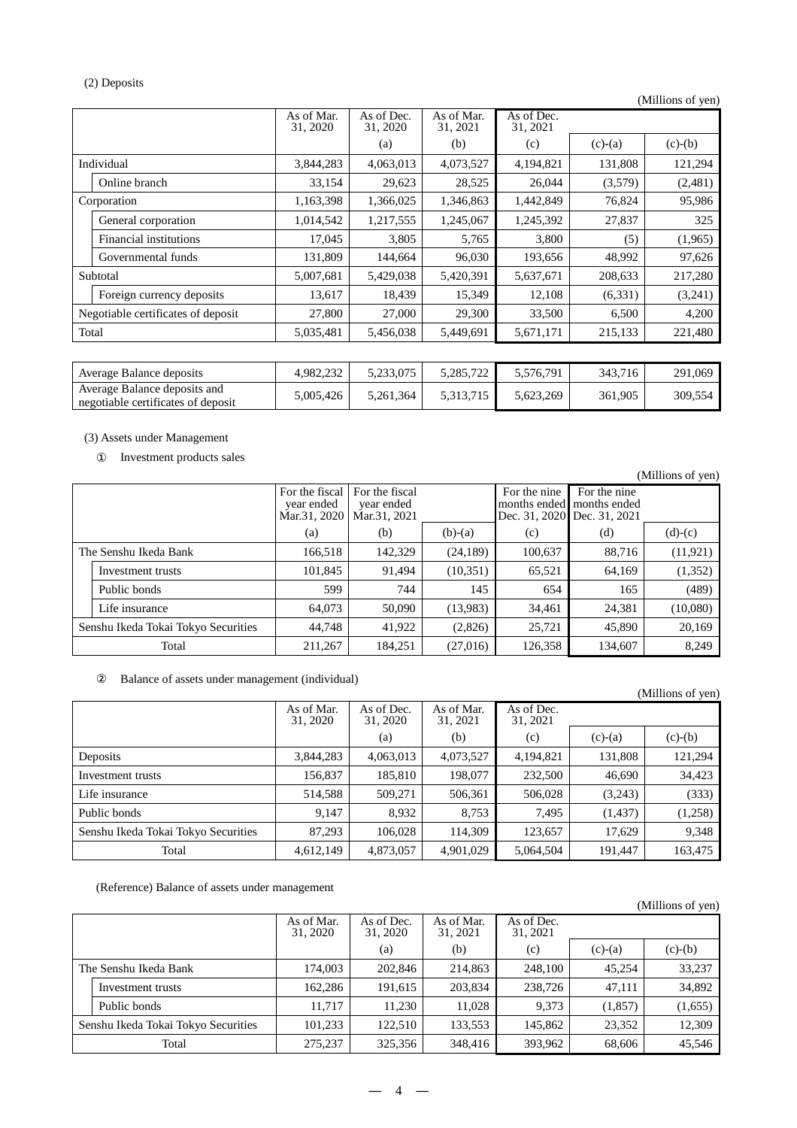## (2) Deposits

(Millions of yen)

|                                    | As of Mar.<br>31, 2020 | As of Dec.<br>31, 2020 | As of Mar.<br>31, 2021 | As of Dec.<br>31, 2021 |           |           |
|------------------------------------|------------------------|------------------------|------------------------|------------------------|-----------|-----------|
|                                    |                        | (a)                    | (b)                    | (c)                    | $(c)-(a)$ | $(c)-(b)$ |
| Individual                         | 3,844,283              | 4,063,013              | 4,073,527              | 4,194,821              | 131,808   | 121,294   |
| Online branch                      | 33.154                 | 29,623                 | 28,525                 | 26,044                 | (3,579)   | (2,481)   |
| Corporation                        | 1,163,398              | 1,366,025              | 1,346,863              | 1,442,849              | 76,824    | 95,986    |
| General corporation                | 1,014,542              | 1,217,555              | 1,245,067              | 1,245,392              | 27,837    | 325       |
| <b>Financial institutions</b>      | 17.045                 | 3,805                  | 5,765                  | 3,800                  | (5)       | (1,965)   |
| Governmental funds                 | 131,809                | 144,664                | 96,030                 | 193,656                | 48,992    | 97,626    |
| Subtotal                           | 5,007,681              | 5,429,038              | 5,420,391              | 5,637,671              | 208,633   | 217,280   |
| Foreign currency deposits          | 13,617                 | 18,439                 | 15,349                 | 12,108                 | (6,331)   | (3,241)   |
| Negotiable certificates of deposit | 27,800                 | 27,000                 | 29,300                 | 33,500                 | 6,500     | 4,200     |
| Total                              | 5,035,481              | 5,456,038              | 5,449,691              | 5,671,171              | 215,133   | 221,480   |
|                                    |                        |                        |                        |                        |           |           |

| Average Balance deposits                                           | 4.982.232 | 5.233,075 | 5.285.722 | 5.576.791 | 343.716 | 291,069 |
|--------------------------------------------------------------------|-----------|-----------|-----------|-----------|---------|---------|
| Average Balance deposits and<br>negotiable certificates of deposit | .005.426  | 5.261.364 | 5.313.715 | 5.623.269 | 361,905 | 309,554 |

(3) Assets under Management

Investment products sales

(Millions of yen) For the fiscal year ended Mar.31, 2020 For the fiscal year ended Mar.31, 2021 For the nine months ended Dec. 31, 2020 For the nine months ended Dec. 31, 2021 (a)  $(b)$   $(b)-(a)$   $(c)$   $(d)$   $(d)-(c)$ The Senshu Ikeda Bank 166,518 | 142,329 | 24,189 | 100,637 | 88,716 | 11,921) Investment trusts 101,845 91,494 (10,351) 65,521 64,169 (1,352) Public bonds 599 744 145 654 165 (489) Life insurance 1.1. [64,073 | 50,090 | 13,983) 34,461 24,381 (10,080) Senshu Ikeda Tokai Tokyo Securities  $\begin{vmatrix} 44,748 & 41,922 & 2826 \end{vmatrix}$  25,721  $\begin{vmatrix} 25,721 & 45,890 \end{vmatrix}$  20,169 Total 211,267 184,251 (27,016) 126,358 134,607 8,249

Balance of assets under management (individual)

|                                     |                        |                        |                        |                        |           | (Millions of yen) |
|-------------------------------------|------------------------|------------------------|------------------------|------------------------|-----------|-------------------|
|                                     | As of Mar.<br>31, 2020 | As of Dec.<br>31, 2020 | As of Mar.<br>31, 2021 | As of Dec.<br>31, 2021 |           |                   |
|                                     |                        | (a)                    | (b)                    | (c)                    | $(c)-(a)$ | $(c)-(b)$         |
| Deposits                            | 3,844,283              | 4,063,013              | 4,073,527              | 4,194,821              | 131,808   | 121,294           |
| Investment trusts                   | 156,837                | 185,810                | 198,077                | 232,500                | 46,690    | 34,423            |
| Life insurance                      | 514,588                | 509,271                | 506,361                | 506,028                | (3,243)   | (333)             |
| Public bonds                        | 9,147                  | 8,932                  | 8,753                  | 7,495                  | (1, 437)  | (1,258)           |
| Senshu Ikeda Tokai Tokyo Securities | 87.293                 | 106.028                | 114,309                | 123,657                | 17.629    | 9,348             |
| Total                               | 4,612,149              | 4,873,057              | 4,901,029              | 5,064,504              | 191.447   | 163,475           |

(Reference) Balance of assets under management

|                                     |                        |                        |                        |                        |           | (Millions of yen) |
|-------------------------------------|------------------------|------------------------|------------------------|------------------------|-----------|-------------------|
|                                     | As of Mar.<br>31, 2020 | As of Dec.<br>31, 2020 | As of Mar.<br>31, 2021 | As of Dec.<br>31, 2021 |           |                   |
|                                     |                        | (a)                    | (b)                    | (c)                    | $(c)-(a)$ | $(c)-(b)$         |
| The Senshu Ikeda Bank               | 174,003                | 202,846                | 214,863                | 248,100                | 45.254    | 33,237            |
| Investment trusts                   | 162,286                | 191,615                | 203,834                | 238,726                | 47,111    | 34,892            |
| Public bonds                        | 11.717                 | 11,230                 | 11.028                 | 9.373                  | (1,857)   | (1,655)           |
| Senshu Ikeda Tokai Tokyo Securities | 101,233                | 122.510                | 133,553                | 145.862                | 23,352    | 12,309            |
| Total                               | 275,237                | 325,356                | 348,416                | 393,962                | 68,606    | 45,546            |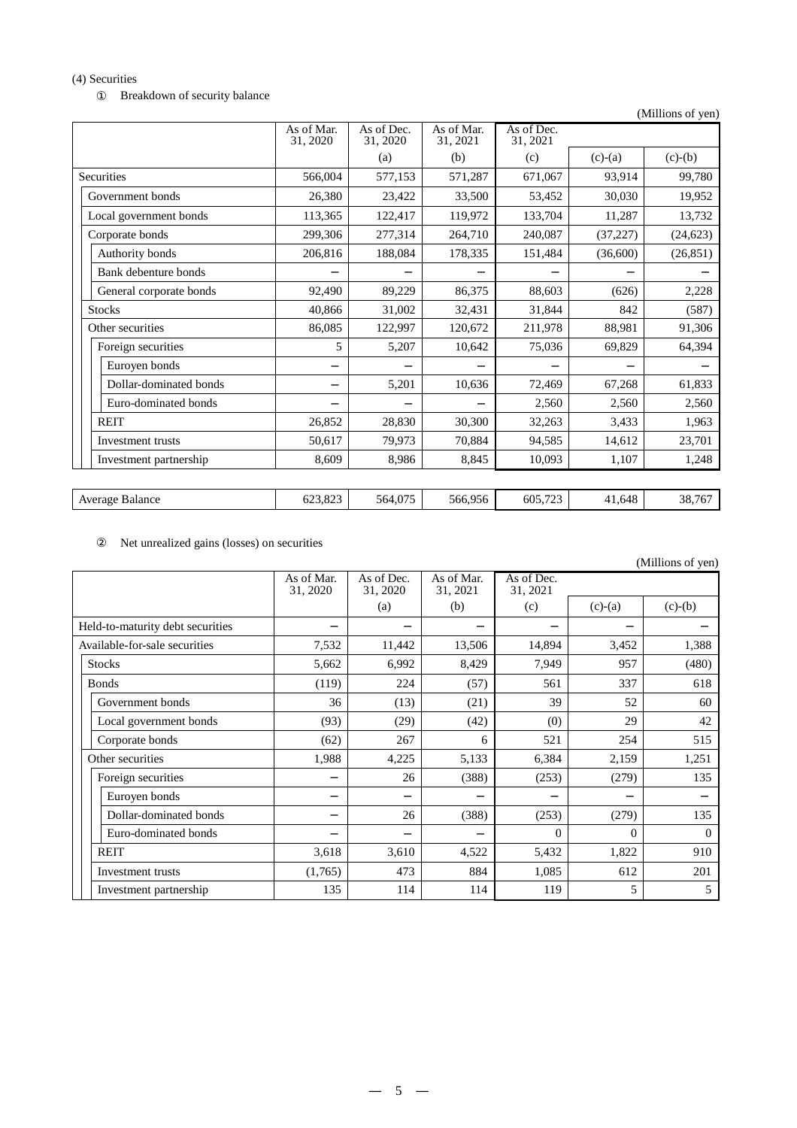(4) Securities

Breakdown of security balance

(Millions of yen)

|                         | As of Mar.<br>31, 2020 | As of Dec.<br>31, 2020 | As of Mar.<br>31, 2021 | As of Dec.<br>31, 2021 |           |           |
|-------------------------|------------------------|------------------------|------------------------|------------------------|-----------|-----------|
|                         |                        | (a)                    | (b)                    | (c)                    | $(c)-(a)$ | $(c)-(b)$ |
| <b>Securities</b>       | 566,004                | 577,153                | 571,287                | 671,067                | 93,914    | 99,780    |
| Government bonds        | 26,380                 | 23,422                 | 33,500                 | 53,452                 | 30,030    | 19,952    |
| Local government bonds  | 113,365                | 122,417                | 119,972                | 133,704                | 11,287    | 13,732    |
| Corporate bonds         | 299,306                | 277,314                | 264,710                | 240,087                | (37, 227) | (24, 623) |
| Authority bonds         | 206,816                | 188,084                | 178,335                | 151,484                | (36,600)  | (26, 851) |
| Bank debenture bonds    |                        |                        |                        |                        |           |           |
| General corporate bonds | 92,490                 | 89,229                 | 86,375                 | 88,603                 | (626)     | 2,228     |
| <b>Stocks</b>           | 40,866                 | 31,002                 | 32,431                 | 31,844                 | 842       | (587)     |
| Other securities        | 86,085                 | 122,997                | 120,672                | 211,978                | 88,981    | 91,306    |
| Foreign securities      | 5                      | 5,207                  | 10,642                 | 75,036                 | 69,829    | 64,394    |
| Euroyen bonds           |                        |                        |                        |                        |           |           |
| Dollar-dominated bonds  |                        | 5,201                  | 10,636                 | 72,469                 | 67,268    | 61,833    |
| Euro-dominated bonds    |                        |                        |                        | 2,560                  | 2,560     | 2,560     |
| <b>REIT</b>             | 26,852                 | 28,830                 | 30,300                 | 32,263                 | 3,433     | 1,963     |
| Investment trusts       | 50,617                 | 79,973                 | 70,884                 | 94,585                 | 14,612    | 23,701    |
| Investment partnership  | 8,609                  | 8,986                  | 8,845                  | 10,093                 | 1,107     | 1,248     |
|                         |                        |                        |                        |                        |           |           |
| Average Balance         | 623,823                | 564,075                | 566,956                | 605,723                | 41,648    | 38,767    |

Net unrealized gains (losses) on securities

|                                  |                        |                        |                        |                        |           | (Millions of yen) |
|----------------------------------|------------------------|------------------------|------------------------|------------------------|-----------|-------------------|
|                                  | As of Mar.<br>31, 2020 | As of Dec.<br>31, 2020 | As of Mar.<br>31, 2021 | As of Dec.<br>31, 2021 |           |                   |
|                                  |                        | (a)                    | (b)                    | (c)                    | $(c)-(a)$ | $(c)-(b)$         |
| Held-to-maturity debt securities |                        |                        |                        |                        |           |                   |
| Available-for-sale securities    | 7,532                  | 11,442                 | 13,506                 | 14,894                 | 3,452     | 1,388             |
| <b>Stocks</b>                    | 5,662                  | 6,992                  | 8,429                  | 7,949                  | 957       | (480)             |
| <b>Bonds</b>                     | (119)                  | 224                    | (57)                   | 561                    | 337       | 618               |
| Government bonds                 | 36                     | (13)                   | (21)                   | 39                     | 52        | 60                |
| Local government bonds           | (93)                   | (29)                   | (42)                   | (0)                    | 29        | 42                |
| Corporate bonds                  | (62)                   | 267                    | 6                      | 521                    | 254       | 515               |
| Other securities                 | 1,988                  | 4,225                  | 5,133                  | 6,384                  | 2,159     | 1,251             |
| Foreign securities               |                        | 26                     | (388)                  | (253)                  | (279)     | 135               |
| Euroyen bonds                    |                        |                        |                        |                        |           |                   |
| Dollar-dominated bonds           |                        | 26                     | (388)                  | (253)                  | (279)     | 135               |
| Euro-dominated bonds             |                        |                        |                        | $\Omega$               | $\Omega$  | $\Omega$          |
| <b>REIT</b>                      | 3,618                  | 3,610                  | 4,522                  | 5,432                  | 1,822     | 910               |
| Investment trusts                | (1,765)                | 473                    | 884                    | 1,085                  | 612       | 201               |
| Investment partnership           | 135                    | 114                    | 114                    | 119                    | 5         | 5                 |